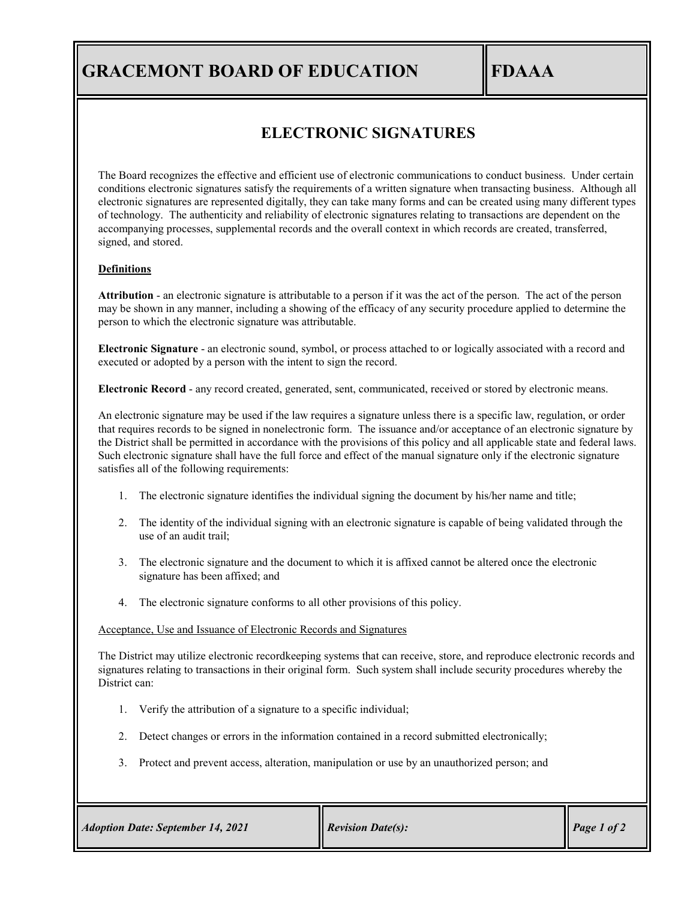# **GRACEMONT BOARD OF EDUCATION FDAAA**

## **ELECTRONIC SIGNATURES**

The Board recognizes the effective and efficient use of electronic communications to conduct business. Under certain conditions electronic signatures satisfy the requirements of a written signature when transacting business. Although all electronic signatures are represented digitally, they can take many forms and can be created using many different types of technology. The authenticity and reliability of electronic signatures relating to transactions are dependent on the accompanying processes, supplemental records and the overall context in which records are created, transferred, signed, and stored.

#### **Definitions**

**Attribution** - an electronic signature is attributable to a person if it was the act of the person. The act of the person may be shown in any manner, including a showing of the efficacy of any security procedure applied to determine the person to which the electronic signature was attributable.

**Electronic Signature** - an electronic sound, symbol, or process attached to or logically associated with a record and executed or adopted by a person with the intent to sign the record.

**Electronic Record** - any record created, generated, sent, communicated, received or stored by electronic means.

An electronic signature may be used if the law requires a signature unless there is a specific law, regulation, or order that requires records to be signed in nonelectronic form. The issuance and/or acceptance of an electronic signature by the District shall be permitted in accordance with the provisions of this policy and all applicable state and federal laws. Such electronic signature shall have the full force and effect of the manual signature only if the electronic signature satisfies all of the following requirements:

- 1. The electronic signature identifies the individual signing the document by his/her name and title;
- 2. The identity of the individual signing with an electronic signature is capable of being validated through the use of an audit trail;
- 3. The electronic signature and the document to which it is affixed cannot be altered once the electronic signature has been affixed; and
- 4. The electronic signature conforms to all other provisions of this policy.

#### Acceptance, Use and Issuance of Electronic Records and Signatures

The District may utilize electronic recordkeeping systems that can receive, store, and reproduce electronic records and signatures relating to transactions in their original form. Such system shall include security procedures whereby the District can:

- 1. Verify the attribution of a signature to a specific individual;
- 2. Detect changes or errors in the information contained in a record submitted electronically;
- 3. Protect and prevent access, alteration, manipulation or use by an unauthorized person; and

| <b>Adoption Date: September 14, 2021</b> | <b>Revision Date(s):</b> | Page 1 of 2 |
|------------------------------------------|--------------------------|-------------|
|------------------------------------------|--------------------------|-------------|